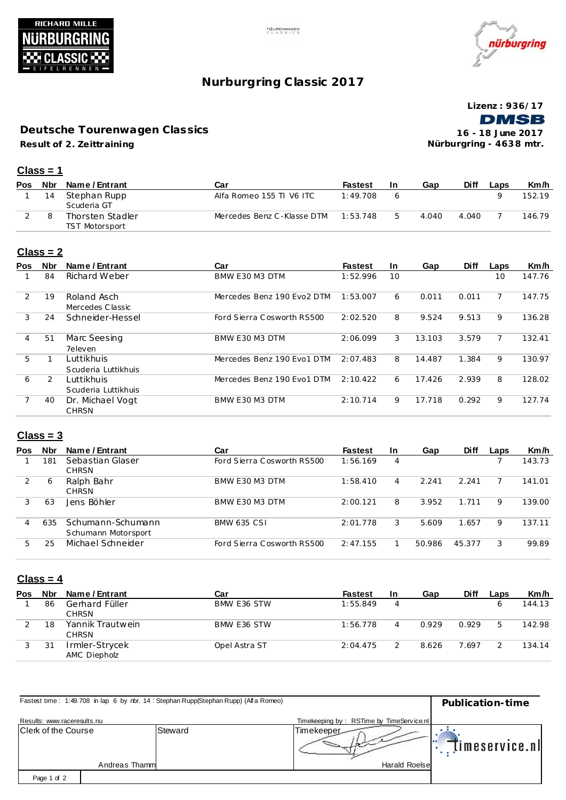



# **Nurburgring C lassic 2017**

**Lizenz : 936/17 DMSB** 

**Result of 2. Ze ittraining Deutsche Tourenwagen Classics**

**16 - 18 June 2017 Nürburgring - 463 8 mtr.**

#### **Class = 1**

| <b>Pos</b> |    | Nbr Name/Entrant                   | Car                        | <b>Fastest</b> | -In | Gap   | <b>Diff</b> | Laps | Km/h   |
|------------|----|------------------------------------|----------------------------|----------------|-----|-------|-------------|------|--------|
|            | 14 | Stephan Rupp<br>Scuderia GT        | Alfa Romeo 155 TI V6 ITC   | 1:49.708       |     |       |             |      | 152.19 |
|            |    | Thorsten Stadler<br>TST Motorsport | Mercedes Benz C-Klasse DTM | 1:53.748       |     | 4.040 | 4.040       |      | 146.79 |

#### **Class = 2**

| <b>Pos</b> | <b>Nbr</b> | Name / Entrant      | Car                        | <b>Fastest</b> | In. | Gap    | <b>Diff</b> | Laps | Km/h   |
|------------|------------|---------------------|----------------------------|----------------|-----|--------|-------------|------|--------|
|            | 84         | Richard Weber       | BMW E30 M3 DTM             | 1:52.996       | 10  |        |             | 10   | 147.76 |
| 2          | 19         | Roland Asch         | Mercedes Benz 190 Evo2 DTM | 1:53.007       | 6   | 0.011  | 0.011       |      | 147.75 |
|            |            | Mercedes Classic    |                            |                |     |        |             |      |        |
| 3          | 24         | Schneider-Hessel    | Ford Sierra Cosworth RS500 | 2:02.520       | 8   | 9.524  | 9.513       | 9    | 136.28 |
| 4          | 51         | Marc Seesing        | BMW E30 M3 DTM             | 2:06.099       | 3   | 13.103 | 3.579       |      | 132.41 |
|            |            | 7eleven             |                            |                |     |        |             |      |        |
| 5          |            | Luttikhuis          | Mercedes Benz 190 Evo1 DTM | 2:07.483       | 8   | 14.487 | 1.384       | 9    | 130.97 |
|            |            | Scuderia Luttikhuis |                            |                |     |        |             |      |        |
| 6          | 2          | Luttikhuis          | Mercedes Benz 190 Evo1 DTM | 2:10.422       | 6   | 17.426 | 2.939       | 8    | 128.02 |
|            |            | Scuderia Luttikhuis |                            |                |     |        |             |      |        |
|            | 40         | Dr. Michael Vogt    | BMW E30 M3 DTM             | 2:10.714       | 9   | 17.718 | 0.292       | 9    | 127.74 |
|            |            | <b>CHRSN</b>        |                            |                |     |        |             |      |        |

### **Class = 3**

| <b>Pos</b> | <b>Nbr</b> | Name / Entrant                           | Car                        | <b>Fastest</b> | <b>In</b> | Gap    | <b>Diff</b> | Laps | Km/h   |
|------------|------------|------------------------------------------|----------------------------|----------------|-----------|--------|-------------|------|--------|
|            | 181        | Sebastian Glaser<br><b>CHRSN</b>         | Ford Sierra Cosworth RS500 | 1:56.169       | 4         |        |             |      | 143.73 |
| 2          | 6          | Ralph Bahr<br><b>CHRSN</b>               | BMW E30 M3 DTM             | 1:58.410       | 4         | 2.241  | 2.241       |      | 141.01 |
|            | 63         | Jens Böhler                              | BMW E30 M3 DTM             | 2:00.121       | 8         | 3.952  | 1.711       | 9    | 139.00 |
|            | 635        | Schumann-Schumann<br>Schumann Motorsport | <b>BMW 635 CSI</b>         | 2:01.778       | 3         | 5.609  | 1.657       | 9    | 137.11 |
| 5          | 25         | Michael Schneider                        | Ford Sierra Cosworth RS500 | 2:47.155       |           | 50.986 | 45.377      | 3    | 99.89  |

### **Class = 4**

| Pos | <b>Nbr</b> | Name / Entrant                   | Car           | <b>Fastest</b> | In | Gap   | <b>Diff</b> | Laps | Km/h   |
|-----|------------|----------------------------------|---------------|----------------|----|-------|-------------|------|--------|
|     | 86         | Gerhard Füller<br><b>CHRSN</b>   | BMW E36 STW   | 1:55.849       | 4  |       |             |      | 144.13 |
|     | 18         | Yannik Trautwein<br><b>CHRSN</b> | BMW E36 STW   | 1:56.778       | 4  | 0.929 | 0.929       | 5    | 142.98 |
|     | 31         | Irmler-Strycek<br>AMC Diepholz   | Opel Astra ST | 2:04.475       |    | 8.626 | 7.697       |      | 134.14 |

| Fastest time: 1:49.708 in lap 6 by nbr. 14: Stephan Rupp(Stephan Rupp) (Alfa Romeo) | Publication-time |         |                                          |                |
|-------------------------------------------------------------------------------------|------------------|---------|------------------------------------------|----------------|
| Results: www.raceresults.nu                                                         |                  |         | Timekeeping by: RSTime by TimeService.nl |                |
| Clerk of the Course                                                                 |                  | Steward | Timekeeper-                              | timeservice.nl |
|                                                                                     | Andreas Thamm    |         | <b>Harald Roelse</b>                     |                |
| Page 1 of 2                                                                         |                  |         |                                          |                |